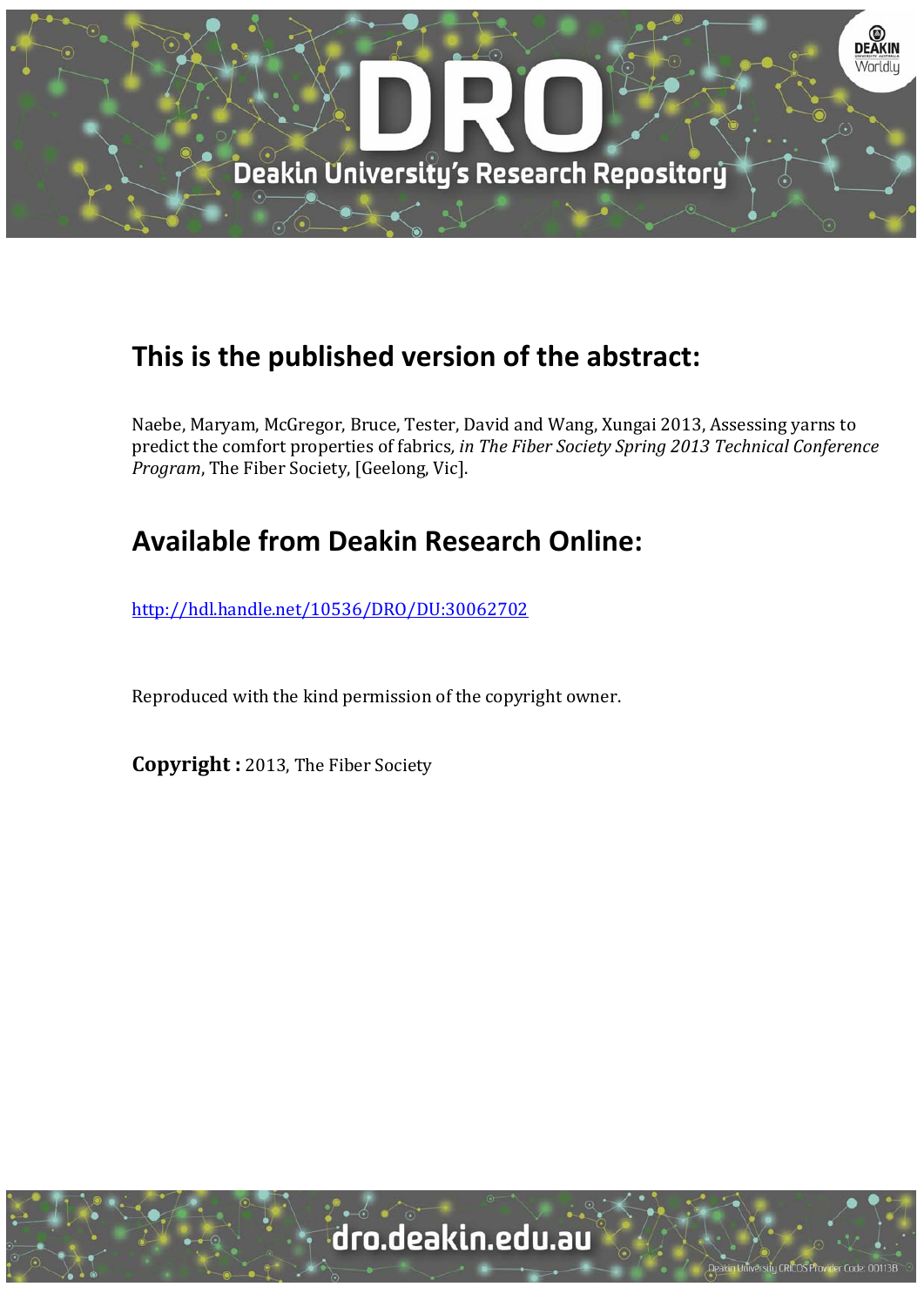

# **This is the published version of the abstract:**

Naebe, Maryam, McGregor, Bruce, Tester, David and Wang, Xungai 2013, Assessing yarns to predict the comfort properties of fabrics*, in The Fiber Society Spring 2013 Technical Conference Program*, The Fiber Society, [Geelong, Vic].

# **Available from Deakin Research Online:**

http://hdl.handle.net/10536/DRO/DU:30062702

Reproduced with the kind permission of the copyright owner.

**Copyright** : 2013, The Fiber Society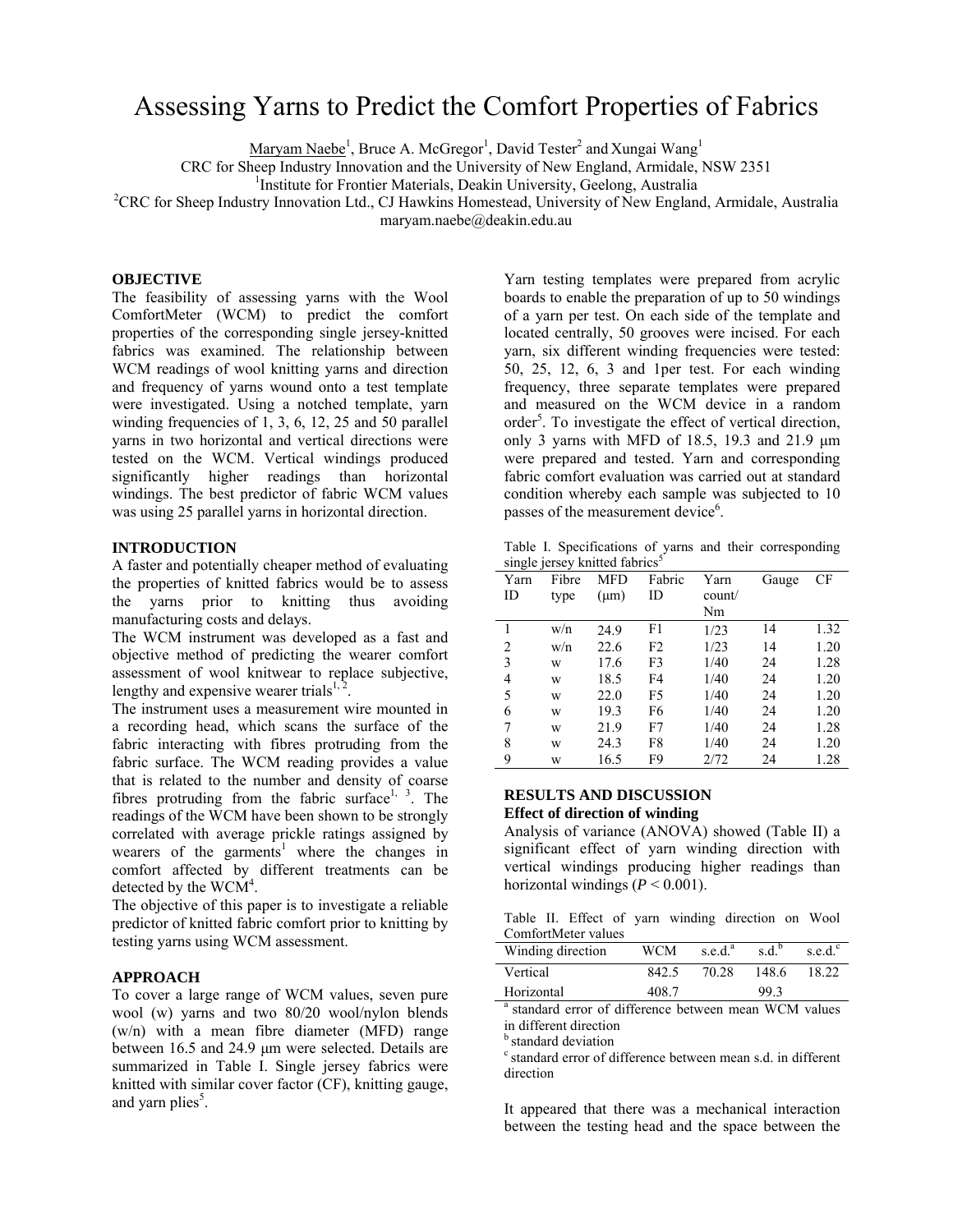# Assessing Yarns to Predict the Comfort Properties of Fabrics

Maryam Naebe<sup>1</sup>, Bruce A. McGregor<sup>1</sup>, David Tester<sup>2</sup> and Xungai Wang<sup>1</sup>

CRC for Sheep Industry Innovation and the University of New England, Armidale, NSW 2351 1

<sup>1</sup>Institute for Frontier Materials, Deakin University, Geelong, Australia

<sup>2</sup>CRC for Sheep Industry Innovation Ltd., CJ Hawkins Homestead, University of New England, Armidale, Australia

maryam.naebe@deakin.edu.au

### **OBJECTIVE**

The feasibility of assessing yarns with the Wool ComfortMeter (WCM) to predict the comfort properties of the corresponding single jersey-knitted fabrics was examined. The relationship between WCM readings of wool knitting yarns and direction and frequency of yarns wound onto a test template were investigated. Using a notched template, yarn winding frequencies of 1, 3, 6, 12, 25 and 50 parallel yarns in two horizontal and vertical directions were tested on the WCM. Vertical windings produced significantly higher readings than horizontal windings. The best predictor of fabric WCM values was using 25 parallel yarns in horizontal direction.

### **INTRODUCTION**

A faster and potentially cheaper method of evaluating the properties of knitted fabrics would be to assess the yarns prior to knitting thus avoiding manufacturing costs and delays.

The WCM instrument was developed as a fast and objective method of predicting the wearer comfort assessment of wool knitwear to replace subjective, lengthy and expensive wearer trials<sup>1,2</sup>

The instrument uses a measurement wire mounted in a recording head, which scans the surface of the fabric interacting with fibres protruding from the fabric surface. The WCM reading provides a value that is related to the number and density of coarse fibres protruding from the fabric surface<sup>1, 3</sup>. The readings of the WCM have been shown to be strongly correlated with average prickle ratings assigned by wearers of the garments<sup>1</sup> where the changes in comfort affected by different treatments can be detected by the WCM<sup>4</sup>.

The objective of this paper is to investigate a reliable predictor of knitted fabric comfort prior to knitting by testing yarns using WCM assessment.

# **APPROACH**

To cover a large range of WCM values, seven pure wool (w) yarns and two 80/20 wool/nylon blends (w/n) with a mean fibre diameter (MFD) range between 16.5 and 24.9 μm were selected. Details are summarized in Table I. Single jersey fabrics were knitted with similar cover factor (CF), knitting gauge, and yarn plies<sup>5</sup>.

Yarn testing templates were prepared from acrylic boards to enable the preparation of up to 50 windings of a yarn per test. On each side of the template and located centrally, 50 grooves were incised. For each yarn, six different winding frequencies were tested: 50, 25, 12, 6, 3 and 1per test. For each winding frequency, three separate templates were prepared and measured on the WCM device in a random order<sup>5</sup>. To investigate the effect of vertical direction, only 3 yarns with MFD of 18.5, 19.3 and 21.9 μm were prepared and tested. Yarn and corresponding fabric comfort evaluation was carried out at standard condition whereby each sample was subjected to 10 passes of the measurement device<sup>6</sup>.

Table I. Specifications of yarns and their corresponding single jersey knitted fabrics $<sup>5</sup>$ </sup>

| Yarn           | Fibre | <b>MFD</b> | Fabric         | Yarn   | Gauge | CF   |
|----------------|-------|------------|----------------|--------|-------|------|
| ID             | type  | $(\mu m)$  | ID             | count/ |       |      |
|                |       |            |                | Nm     |       |      |
| 1              | w/n   | 24.9       | F1             | 1/23   | 14    | 1.32 |
| $\overline{c}$ | w/n   | 22.6       | F <sub>2</sub> | 1/23   | 14    | 1.20 |
| 3              | W     | 17.6       | F3             | 1/40   | 24    | 1.28 |
| 4              | W     | 18.5       | F4             | 1/40   | 24    | 1.20 |
| 5              | W     | 22.0       | F5             | 1/40   | 24    | 1.20 |
| 6              | W     | 19.3       | F6             | 1/40   | 24    | 1.20 |
| 7              | W     | 21.9       | F7             | 1/40   | 24    | 1.28 |
| 8              | W     | 24.3       | F8             | 1/40   | 24    | 1.20 |
| 9              | W     | 16.5       | F9             | 2/72   | 24    | 1.28 |

# **RESULTS AND DISCUSSION Effect of direction of winding**

Analysis of variance (ANOVA) showed (Table II) a significant effect of yarn winding direction with vertical windings producing higher readings than horizontal windings  $(P < 0.001)$ .

Table II. Effect of yarn winding direction on Wool ComfortMeter values

| Winding direction                            | WCM   | s.e.d. <sup>a</sup> | s.d. <sup>b</sup> | s.e.d. $\degree$ |
|----------------------------------------------|-------|---------------------|-------------------|------------------|
| Vertical                                     | 842.5 | 70.28               | 148.6             | 18.22            |
| Horizontal                                   | 408.7 |                     | 99.3              |                  |
| $\sim$ $\sim$ $\sim$ $\sim$ $\sim$<br>0.1100 |       |                     | <b>******</b>     |                  |

<sup>a</sup> standard error of difference between mean WCM values in different direction

standard deviation

 $\overline{a}$ 

 $\epsilon$  standard error of difference between mean s.d. in different direction

It appeared that there was a mechanical interaction between the testing head and the space between the